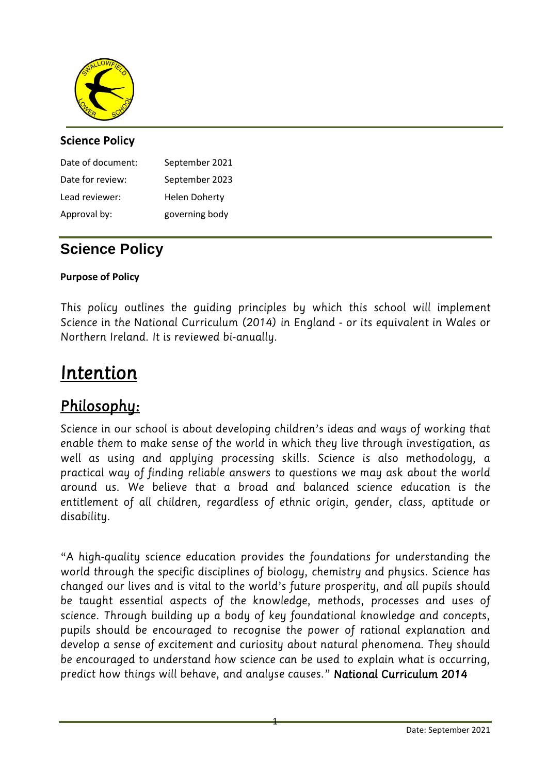

# **Science Policy**

| Date of document: | September 2021       |
|-------------------|----------------------|
| Date for review:  | September 2023       |
| Lead reviewer:    | <b>Helen Doherty</b> |
| Approval by:      | governing body       |

# **Science Policy**

## **Purpose of Policy**

*This policy outlines the guiding principles by which this school will implement Northern Ireland. It is reviewed bi-anually. Northern Ireland. It is reviewed bi-anually.*

# *Intention*

*Philosophy:*  enable them to make sense of the world in which they live through investigation, as well as using and applying processing skills. Science is also methodology, a practical way of finding reliable answers to questions we may ask about the world *practical way of finding reliable answers to questions we may ask about the world around us. We believe that a broad and balanced science education is the entitlement of all children, regardless of ethnic origin, gender, class, aptitude or disability.*

*"A high-quality science education provides the foundations for understanding the changed our lives and is vital to the world's future prosperity, and all pupils should* be taught essential aspects of the knowledge, methods, processes and uses of science. Through building up a body of key foundational knowledge and concepts, pupils should be encouraged to recognise the power of rational explanation and develop a sense of excitement and curiosity about natural phenomena. They should be encouraged to understand how science can be used to explain what is occurring, *be encouraged to understand how science can be used to explain what is occurring, predict how things will behave, and analyse causes." National Curriculum 2014*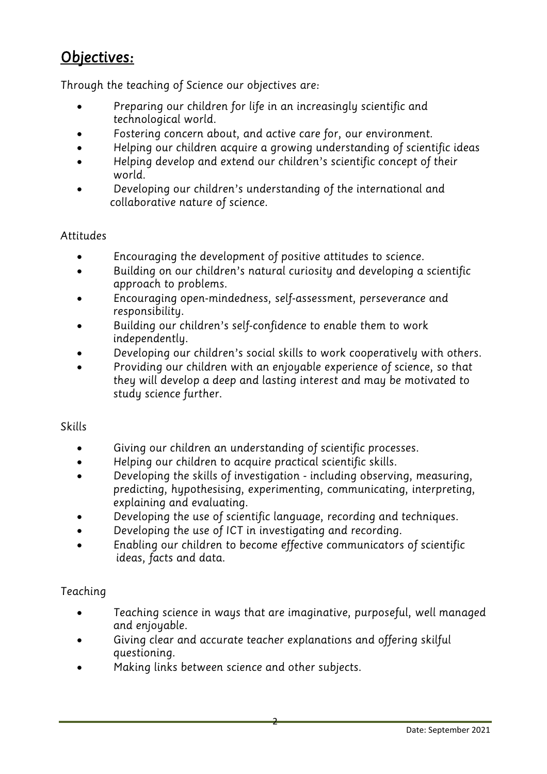# *Objectives:*

- *Through the teaching of Science our objectives are:* • *Preparing our children for life in an increasingly scientific and* 
	- Fostering concern about, and active care for, our environment.<br>• Helping our children acquire a growing understanding of scient
	- *Helping our children acquire a growing understanding of scientific ideas*
	- *Helping develop and extend our children's scientific concept of their*
	- *world. Developing our children's understanding of the international and collaborative nature of science.*

# **Attitudes**

- *Encouraging the development of positive attitudes to science.*
- *Building on our children's natural curiosity and developing a scientific*
- *approach to problems. Encouraging open-mindedness, self-assessment, perseverance and*
- *responsibility. Building our children's self-confidence to enable them to work*
- *independently. Developing our children's social skills to work cooperatively with others.*
- *Providing our children with an enjoyable experience of science, so that they will develop a deep and lasting interest and may be motivated to study science further.*

# **Skills**

- *Giving our children an understanding of scientific processes.*
- *Helping our children to acquire practical scientific skills.*
- *Developing the skills of investigation - including observing, measuring, explaining and evaluating.*
- *Developing the use of scientific language, recording and techniques.*<br>• *Developing the use of ICT in investigating and recording*
- *Developing the use of ICT in investigating and recording.*
- *Enabling our children to become effective communicators of scientific ideas, facts and data.*

# *Teaching*

- *Teaching science in ways that are imaginative, purposeful, well managed*
- *and enjoyable. Giving clear and accurate teacher explanations and offering skilful*
- *Making links between science and other subjects.*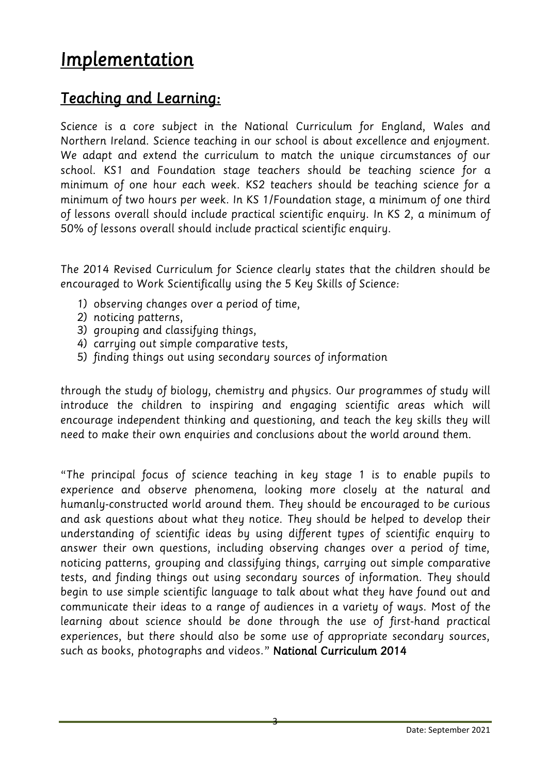# *Implementation*

# *Teaching and Learning:*

*Science is a core subject in the National Curriculum for England, Wales and*  We adapt and extend the curriculum to match the unique circumstances of our school. KS1 and Foundation stage teachers should be teaching science for a minimum of one hour each week. KS2 teachers should be teaching science for a *minimum of two hours per week. In KS 1/Foundation stage, a minimum of one third* of lessons overall should include practical scientific enquiry. In KS 2, a minimum of 50% of lessons overall should include practical scientific enquiry. *50% of lessons overall should include practical scientific enquiry.*

*The 2014 Revised Curriculum for Science clearly states that the children should be encouraged to Work Scientifically using the 5 Key Skills of Science:*

- *1) observing changes over a period of time,*
- 
- 3) grouping and classifying things,
- 4) *carrying out simple comparative tests,*
- *4) carrying out simple comparative tests, 5) finding things out using secondary sources of information*

*through the study of biology, chemistry and physics. Our programmes of study will*  encourage independent thinking and questioning, and teach the key skills they will need to make their own enquiries and conclusions about the world around them. *need to make their own enquiries and conclusions about the world around them.*

*"The principal focus of science teaching in key stage 1 is to enable pupils to*  humanly-constructed world around them. They should be encouraged to be curious and ask questions about what they notice. They should be helped to develop their anderstanding of scientific ideas by using different types of scientific enquiry to answer their own questions, including observing changes over a period of time, noticing patterns, grouping and classifying things, carrying out simple comparative tests, and finding things out using secondary sources of information. They should begin to use simple scientific language to talk about what they have found out and communicate their ideas to a range of audiences in a variety of ways. Most of the learning about science should be done through the use of first-hand practical experiences, but there should also be some use of appropriate secondary sources, experiences, and the showld and some users, of propriate secondary sources,  $\frac{1}{2}$ *such as books, photographs and videos." National Curriculum 2014*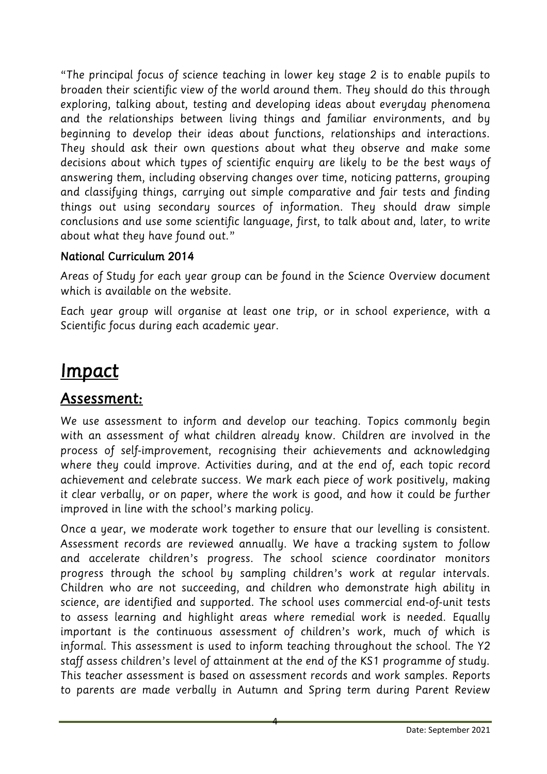*"The principal focus of science teaching in lower key stage 2 is to enable pupils to*  exploring, talking about, testing and developing ideas about everyday phenomena and the relationships between living things and familiar environments, and by beginning to develop their ideas about functions, relationships and interactions. They should ask their own questions about what they observe and make some decisions about which types of scientific enguiry are likely to be the best ways of answering them, including observing changes over time, noticing patterns, grouping and classifying things, carrying out simple comparative and fair tests and finding things out using secondary sources of information. They should draw simple conclusions and use some scientific language, first, to talk about and, later, to write about what they have found out."

# *about what they have found out."*

Areas of Study for each year group can be found in the Science Overview document which is available on the website.

Each year group will organise at least one trip, or in school experience, with a *Each year group will organise at least one trip, or in school experience, with a Scientific focus during each academic year.*

# *Impact*

We use assessment to inform and develop our teaching. Topics commonly begin with an assessment of what children already know. Children are involved in the process of self-improvement, recognising their achievements and acknowledging where they could improve. Activities during, and at the end of, each topic record achievement and celebrate success. We mark each piece of work positively, making *it clear verbally, or on paper, where the work is good, and how it could be further improved in line with the school's marking policy.* 

Once a year, we moderate work together to ensure that our levelling is consistent. Assessment records are reviewed annually. We have a tracking system to follow and accelerate children's progress. The school science coordinator monitors progress through the school by sampling children's work at regular intervals. Children who are not succeeding, and children who demonstrate high ability in science, are identified and supported. The school uses commercial end-of-unit tests to assess learning and highlight areas where remedial work is needed. Equally *important is the continuous assessment of children's work, much of which is* informal. This assessment is used to inform teaching throughout the school. The Y2 staff assess children's level of attainment at the end of the KS1 programme of study. This teacher assessment is based on assessment records and work samples. Reports *This teacher assessment is based on assessment records and work samples. Reports to parents are made verbally in Autumn and Spring term during Parent Review*